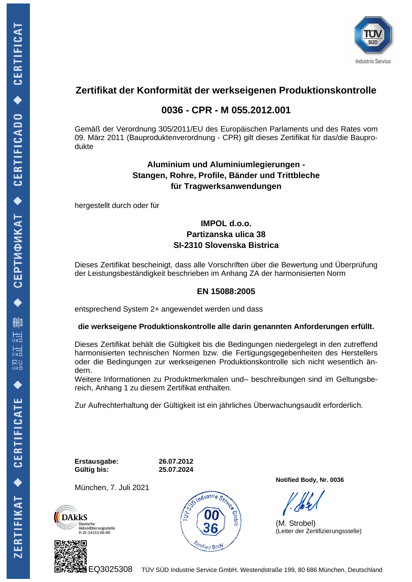

## **Zertifikat der Konformität der werkseigenen Produktionskontrolle**

## **0036 - CPR - M 055.2012.001**

Gemäß der Verordnung 305/2011/EU des Europäischen Parlaments und des Rates vom 09. März 2011 (Bauproduktenverordnung - CPR) gilt dieses Zertifikat für das/die Bauprodukte

### **Aluminium und Aluminiumlegierungen - Stangen, Rohre, Profile, Bänder und Trittbleche für Tragwerksanwendungen**

hergestellt durch oder für

### **IMPOL d.o.o. Partizanska ulica 38 SI-2310 Slovenska Bistrica**

Dieses Zertifikat bescheinigt, dass alle Vorschriften über die Bewertung und Überprüfung der Leistungsbeständigkeit beschrieben im Anhang ZA der harmonisierten Norm

### **EN 15088:2005**

entsprechend System 2+ angewendet werden und dass

#### **die werkseigene Produktionskontrolle alle darin genannten Anforderungen erfüllt.**

Dieses Zertifikat behält die Gültigkeit bis die Bedingungen niedergelegt in den zutreffend harmonisierten technischen Normen bzw. die Fertigungsgegebenheiten des Herstellers oder die Bedingungen zur werkseigenen Produktionskontrolle sich nicht wesentlich ändern.

Weitere Informationen zu Produktmerkmalen und– beschreibungen sind im Geltungsbereich, Anhang 1 zu diesem Zertifikat enthalten.

Zur Aufrechterhaltung der Gültigkeit ist ein jährliches Überwachungsaudit erforderlich.

**Erstausgabe: 26.07.2012 Gültig bis: 25.07.2024**

München, 7. Juli 2021



ndustrie S<sub>o</sub> **Motified Bod** 

**Notified Body, Nr. 0036**

(M. Strobel) (Leiter der Zertifizierungsstelle)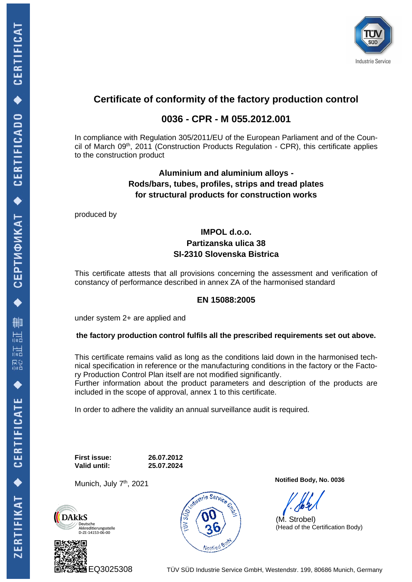

# **Certificate of conformity of the factory production control**

### **0036 - CPR - M 055.2012.001**

In compliance with Regulation 305/2011/EU of the European Parliament and of the Council of March 09<sup>th</sup>, 2011 (Construction Products Regulation - CPR), this certificate applies to the construction product

### **Aluminium and aluminium alloys - Rods/bars, tubes, profiles, strips and tread plates for structural products for construction works**

produced by

### **IMPOL d.o.o. Partizanska ulica 38 SI-2310 Slovenska Bistrica**

This certificate attests that all provisions concerning the assessment and verification of constancy of performance described in annex ZA of the harmonised standard

### **EN 15088:2005**

under system 2+ are applied and

**the factory production control fulfils all the prescribed requirements set out above.**

This certificate remains valid as long as the conditions laid down in the harmonised technical specification in reference or the manufacturing conditions in the factory or the Factory Production Control Plan itself are not modified significantly.

Further information about the product parameters and description of the products are included in the scope of approval, annex 1 to this certificate.

In order to adhere the validity an annual surveillance audit is required.

**First issue: 26.07.2012 Valid until: 25.07.2024**

Munich, July 7<sup>th</sup>, 2021







**Notified Body, No. 0036**

(M. Strobel) (Head of the Certification Body)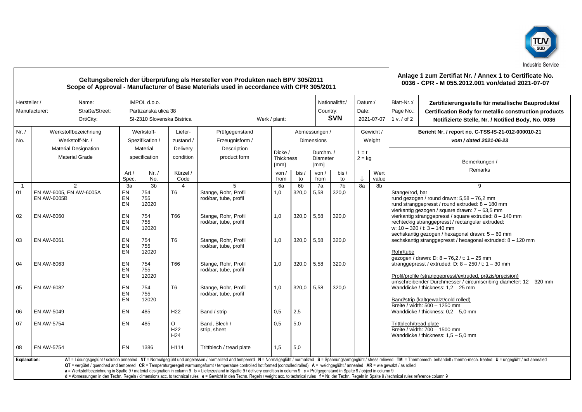

| Geltungsbereich der Überprüfung als Hersteller von Produkten nach BPV 305/2011<br>Scope of Approval - Manufacturer of Base Materials used in accordance with CPR 305/2011                                                                                                                                                                                                                                                                                                                                                                                                                                                                                                                                                                                                                                                                                                     |                                                                        |                                           |                                                                    |                                         |                                                  |                                                        |            |                                    |                                          |          |                                | Anlage 1 zum Zertifiat Nr. / Annex 1 to Certificate No.<br>0036 - CPR - M 055.2012.001 von/dated 2021-07-07                                                                                     |                                                                                                                                                                                             |  |
|-------------------------------------------------------------------------------------------------------------------------------------------------------------------------------------------------------------------------------------------------------------------------------------------------------------------------------------------------------------------------------------------------------------------------------------------------------------------------------------------------------------------------------------------------------------------------------------------------------------------------------------------------------------------------------------------------------------------------------------------------------------------------------------------------------------------------------------------------------------------------------|------------------------------------------------------------------------|-------------------------------------------|--------------------------------------------------------------------|-----------------------------------------|--------------------------------------------------|--------------------------------------------------------|------------|------------------------------------|------------------------------------------|----------|--------------------------------|-------------------------------------------------------------------------------------------------------------------------------------------------------------------------------------------------|---------------------------------------------------------------------------------------------------------------------------------------------------------------------------------------------|--|
| Hersteller /                                                                                                                                                                                                                                                                                                                                                                                                                                                                                                                                                                                                                                                                                                                                                                                                                                                                  | Name:<br>Manufacturer:<br>Straße/Street:<br>Ort/City:                  |                                           | IMPOL d.o.o.<br>Partizanska ulica 38<br>SI-2310 Slovenska Bistrica |                                         | Werk / plant:                                    |                                                        |            |                                    | Nationalität:/<br>Country:<br><b>SVN</b> |          | Datum:/<br>Date:<br>2021-07-07 | Blatt-Nr.:/<br>Page No.:<br>1 v. / of 2                                                                                                                                                         | Zertifizierungsstelle für metallische Bauprodukte/<br><b>Certification Body for metallic construction products</b><br>Notifizierte Stelle, Nr. / Notified Body, No. 0036                    |  |
| Nr. /<br>No.                                                                                                                                                                                                                                                                                                                                                                                                                                                                                                                                                                                                                                                                                                                                                                                                                                                                  | Werkstoffbezeichnung<br>Werkstoff-Nr. /<br><b>Material Designation</b> | Werkstoff-<br>Spezifikation /<br>Material |                                                                    | Liefer-<br>zustand /<br>Delivery        | Prüfgegenstand<br>Erzeugnisform /<br>Description | Dicke /                                                |            | Abmessungen /<br><b>Dimensions</b> | Durchm./                                 |          | Gewicht /<br>Weight<br>$1 = t$ | Bericht Nr. / report no. C-TSS-IS-21-012-000010-21<br>vom / dated 2021-06-23                                                                                                                    |                                                                                                                                                                                             |  |
|                                                                                                                                                                                                                                                                                                                                                                                                                                                                                                                                                                                                                                                                                                                                                                                                                                                                               | <b>Material Grade</b>                                                  | Art /<br>Spec.                            | specification<br>Nr. /<br>No.                                      | condition<br>Kürzel /<br>Code           | product form                                     | <b>Thickness</b><br>$\lceil mm \rceil$<br>von/<br>from | bis/<br>to | Diameter<br>[mm]<br>von /<br>from  | bis /<br>to                              | $2 = kq$ | Wert<br>value                  | Bemerkungen /<br>Remarks                                                                                                                                                                        |                                                                                                                                                                                             |  |
| $\overline{1}$                                                                                                                                                                                                                                                                                                                                                                                                                                                                                                                                                                                                                                                                                                                                                                                                                                                                | 2                                                                      | 3a                                        | 3 <sub>b</sub>                                                     |                                         | 5                                                | 6a                                                     | 6b         | 7a                                 | 7 <sub>b</sub>                           | 8a       | 8b                             |                                                                                                                                                                                                 | 9                                                                                                                                                                                           |  |
| 01                                                                                                                                                                                                                                                                                                                                                                                                                                                                                                                                                                                                                                                                                                                                                                                                                                                                            | EN AW-6005, EN AW-6005A<br><b>EN AW-6005B</b>                          | EN<br>EN<br>EN                            | 754<br>755<br>12020                                                | T <sub>6</sub>                          | Stange, Rohr, Profil<br>rod/bar, tube, profil    | 1,0                                                    | 320,0      | 5,58                               | 320,0                                    |          |                                | Stange/rod, bar                                                                                                                                                                                 | rund gezogen / round drawn: 5,58 - 76,2 mm<br>rund stranggepresst / round extruded: 8 - 180 mm<br>vierkantig gezogen / square drawn: 7 - 63,5 mm                                            |  |
| 02                                                                                                                                                                                                                                                                                                                                                                                                                                                                                                                                                                                                                                                                                                                                                                                                                                                                            | EN AW-6060                                                             | EN<br>EN<br>EN                            | 754<br>755<br>12020                                                | T66                                     | Stange, Rohr, Profil<br>rod/bar, tube, profil    | 1,0                                                    | 320,0      | 5,58                               | 320.0                                    |          |                                | vierkantig stranggepresst / square extruded: 8 - 140 mm<br>rechteckig stranggepresst / rectangular extruded:<br>w: 10 - 320 / t: 3 - 140 mm<br>sechskantig gezogen / hexagonal drawn: 5 - 60 mm |                                                                                                                                                                                             |  |
| 03                                                                                                                                                                                                                                                                                                                                                                                                                                                                                                                                                                                                                                                                                                                                                                                                                                                                            | <b>EN AW-6061</b>                                                      | EN<br>EN<br>EN                            | 754<br>755<br>12020                                                | T <sub>6</sub>                          | Stange, Rohr, Profil<br>rod/bar, tube, profil    | 1,0                                                    | 320,0      | 5,58                               | 320.0                                    |          |                                | Rohr/tube                                                                                                                                                                                       | sechskantig stranggepresst / hexagonal extruded: 8 - 120 mm<br>qezoqen / drawn: D: 8 - 76.2 / t: 1 - 25 mm                                                                                  |  |
| 04                                                                                                                                                                                                                                                                                                                                                                                                                                                                                                                                                                                                                                                                                                                                                                                                                                                                            | EN AW-6063                                                             | EN<br>EN<br>EN                            | 754<br>755<br>12020                                                | T66                                     | Stange, Rohr, Profil<br>rod/bar, tube, profil    | 1,0                                                    | 320,0      | 5,58                               | 320.0                                    |          |                                |                                                                                                                                                                                                 | stranggepresst / extruded: $D: 8 - 250$ / t: $1 - 30$ mm<br>Profil/profile (stranggepresst/extruded, präzis/precision)<br>umschreibender Durchmesser / circumscribing diameter: 12 - 320 mm |  |
| 05                                                                                                                                                                                                                                                                                                                                                                                                                                                                                                                                                                                                                                                                                                                                                                                                                                                                            | EN AW-6082                                                             | EN<br>EN<br>EN                            | 754<br>755<br>12020                                                | T <sub>6</sub>                          | Stange, Rohr, Profil<br>rod/bar, tube, profil    | 1.0                                                    | 320.0      | 5,58                               | 320.0                                    |          |                                |                                                                                                                                                                                                 | Wanddicke / thickness: 1.2 - 25 mm<br>Band/strip (kaltgewalzt/cold rolled)<br>Breite / width: 500 - 1250 mm                                                                                 |  |
| 06                                                                                                                                                                                                                                                                                                                                                                                                                                                                                                                                                                                                                                                                                                                                                                                                                                                                            | EN AW-5049                                                             | EN                                        | 485                                                                | H <sub>22</sub>                         | Band / strip                                     | 0,5                                                    | 2,5        |                                    |                                          |          |                                |                                                                                                                                                                                                 | Wanddicke / thickness: $0.2 - 5.0$ mm                                                                                                                                                       |  |
| 07                                                                                                                                                                                                                                                                                                                                                                                                                                                                                                                                                                                                                                                                                                                                                                                                                                                                            | <b>EN AW-5754</b>                                                      | EN                                        | 485                                                                | O<br>H <sub>22</sub><br>H <sub>24</sub> | Band. Blech /<br>strip, sheet                    | 0,5                                                    | 5,0        |                                    |                                          |          |                                | Trittblech/tread plate                                                                                                                                                                          | Breite / width: 700 - 1500 mm<br>Wanddicke / thickness: $1.5 - 5.0$ mm                                                                                                                      |  |
| 08                                                                                                                                                                                                                                                                                                                                                                                                                                                                                                                                                                                                                                                                                                                                                                                                                                                                            | <b>EN AW-5754</b>                                                      | EN                                        | 1386                                                               | H114                                    | Trittblech / tread plate                         | 1,5                                                    | 5,0        |                                    |                                          |          |                                |                                                                                                                                                                                                 |                                                                                                                                                                                             |  |
| AT = Lösungsgeglüht / solution annealed NT = Normalgeglüht und angelassen / normalized and tempererd N = Normalgeglüht / normalized S = Spannungsarmgeglüht / stress relieved TM = Thermomech. behandelt / thermo-mech. treate<br><b>Explanation:</b><br>QT = vergütet / quenched and tempered CR = Temperaturgeregelt warmumgeformt / temperature controlled hot formed (controlled rolled) A = weichgeglüht / annealed AR = wie gewalzt / as rolled<br>a = Werkstoffbezeichnung in Spalte 9 / material designation in column 9 b = Lieferzustand in Spalte 9 / delivery condition in column 9 c = Prüfgegenstand in Spalte 9 / object in column 9<br>d = Abmessungen in den Techn. Regeln / dimensions acc. to technical rules e = Gewicht in den Techn. Regeln / weight acc. to technical rules f = Nr. der Techn. Regeln in Spalte 9 / technical rules reference column 9 |                                                                        |                                           |                                                                    |                                         |                                                  |                                                        |            |                                    |                                          |          |                                |                                                                                                                                                                                                 |                                                                                                                                                                                             |  |

- 17

 $\overline{\phantom{0}}$